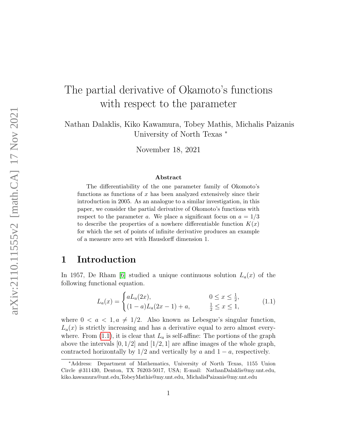# The partial derivative of Okamoto's functions with respect to the parameter

Nathan Dalaklis, Kiko Kawamura, Tobey Mathis, Michalis Paizanis University of North Texas <sup>∗</sup>

November 18, 2021

#### Abstract

The differentiability of the one parameter family of Okomoto's functions as functions of  $x$  has been analyzed extensively since their introduction in 2005. As an analogue to a similar investigation, in this paper, we consider the partial derivative of Okomoto's functions with respect to the parameter a. We place a significant focus on  $a = 1/3$ to describe the properties of a nowhere differentiable function  $K(x)$ for which the set of points of infinite derivative produces an example of a measure zero set with Hausdorff dimension 1.

#### 1 Introduction

In 1957, De Rham [\[6\]](#page-12-0) studied a unique continuous solution  $L_a(x)$  of the following functional equation.

<span id="page-0-0"></span>
$$
L_a(x) = \begin{cases} aL_a(2x), & 0 \le x \le \frac{1}{2}, \\ (1-a)L_a(2x-1) + a, & \frac{1}{2} \le x \le 1, \end{cases}
$$
(1.1)

where  $0 < a < 1, a \neq 1/2$ . Also known as Lebesgue's singular function,  $L_a(x)$  is strictly increasing and has a derivative equal to zero almost everywhere. From  $(1.1)$ , it is clear that  $L_a$  is self-affine: The portions of the graph above the intervals  $[0, 1/2]$  and  $[1/2, 1]$  are affine images of the whole graph, contracted horizontally by  $1/2$  and vertically by a and  $1 - a$ , respectively.

<sup>∗</sup>Address: Department of Mathematics, University of North Texas, 1155 Union Circle #311430, Denton, TX 76203-5017, USA; E-mail: NathanDalaklis@my.unt.edu, kiko.kawamura@unt.edu,TobeyMathis@my.unt.edu, MichalisPaizanis@my.unt.edu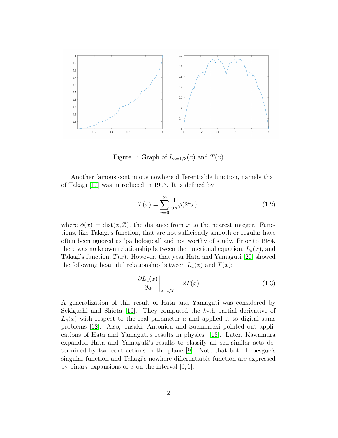

Figure 1: Graph of  $L_{a=1/3}(x)$  and  $T(x)$ 

Another famous continuous nowhere differentiable function, namely that of Takagi [\[17\]](#page-13-0) was introduced in 1903. It is defined by

<span id="page-1-0"></span>
$$
T(x) = \sum_{n=0}^{\infty} \frac{1}{2^n} \phi(2^n x),
$$
\n(1.2)

where  $\phi(x) = \text{dist}(x, \mathbb{Z})$ , the distance from x to the nearest integer. Functions, like Takagi's function, that are not sufficiently smooth or regular have often been ignored as 'pathological' and not worthy of study. Prior to 1984, there was no known relationship between the functional equation,  $L_a(x)$ , and Takagi's function,  $T(x)$ . However, that year Hata and Yamaguti [\[20\]](#page-13-1) showed the following beautiful relationship between  $L_a(x)$  and  $T(x)$ :

$$
\left. \frac{\partial L_a(x)}{\partial a} \right|_{a=1/2} = 2T(x). \tag{1.3}
$$

A generalization of this result of Hata and Yamaguti was considered by Sekiguchi and Shiota [\[16\]](#page-13-2). They computed the  $k$ -th partial derivative of  $L_a(x)$  with respect to the real parameter a and applied it to digital sums problems [\[12\]](#page-12-1). Also, Tasaki, Antoniou and Suchanecki pointed out applications of Hata and Yamaguti's results in physics [\[18\]](#page-13-3). Later, Kawamura expanded Hata and Yamaguti's results to classify all self-similar sets determined by two contractions in the plane [\[9\]](#page-12-2). Note that both Lebesgue's singular function and Takagi's nowhere differentiable function are expressed by binary expansions of x on the interval  $[0, 1]$ .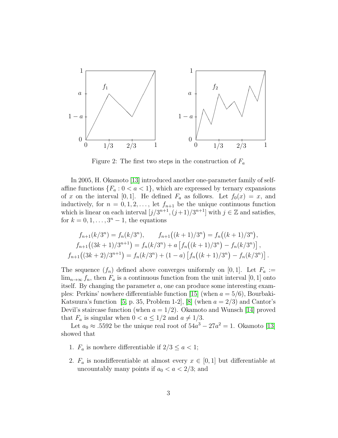

Figure 2: The first two steps in the construction of  $F_a$ 

In 2005, H. Okamoto [\[13\]](#page-13-4) introduced another one-parameter family of selfaffine functions  ${F_a : 0 < a < 1}$ , which are expressed by ternary expansions of x on the interval [0, 1]. He defined  $F_a$  as follows. Let  $f_0(x) = x$ , and inductively, for  $n = 0, 1, 2, \ldots$ , let  $f_{n+1}$  be the unique continuous function which is linear on each interval  $[j/3^{n+1}, (j+1)/3^{n+1}]$  with  $j \in \mathbb{Z}$  and satisfies, for  $k = 0, 1, \ldots, 3<sup>n</sup> - 1$ , the equations

$$
f_{n+1}(k/3^n) = f_n(k/3^n), \qquad f_{n+1}((k+1)/3^n) = f_n((k+1)/3^n),
$$
  
\n
$$
f_{n+1}((3k+1)/3^{n+1}) = f_n(k/3^n) + a \left[ f_n((k+1)/3^n) - f_n(k/3^n) \right],
$$
  
\n
$$
f_{n+1}((3k+2)/3^{n+1}) = f_n(k/3^n) + (1-a) \left[ f_n((k+1)/3^n) - f_n(k/3^n) \right].
$$

The sequence  $(f_n)$  defined above converges uniformly on [0, 1]. Let  $F_a :=$  $\lim_{n\to\infty} f_n$ , then  $F_a$  is a continuous function from the unit interval [0, 1] onto itself. By changing the parameter  $a$ , one can produce some interesting exam-ples: Perkins' nowhere differentiable function [\[15\]](#page-13-5) (when  $a = 5/6$ ), Bourbaki-Katsuura's function [\[5,](#page-12-3) p. 35, Problem 1-2], [\[8\]](#page-12-4) (when  $a = 2/3$ ) and Cantor's Devil's staircase function (when  $a = 1/2$ ). Okamoto and Wunsch [\[14\]](#page-13-6) proved that  $F_a$  is singular when  $0 < a \leq 1/2$  and  $a \neq 1/3$ .

Let  $a_0 \approx .5592$  be the unique real root of  $54a^3 - 27a^2 = 1$ . Okamoto [\[13\]](#page-13-4) showed that

- 1.  $F_a$  is nowhere differentiable if  $2/3 \leq a < 1$ ;
- 2.  $F_a$  is nondifferentiable at almost every  $x \in [0,1]$  but differentiable at uncountably many points if  $a_0 < a < 2/3$ ; and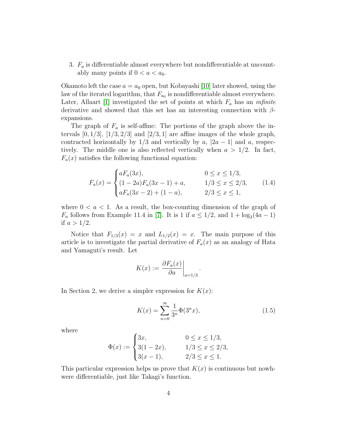3.  $F_a$  is differentiable almost everywhere but nondifferentiable at uncountably many points if  $0 < a < a_0$ .

Okamoto left the case  $a = a_0$  open, but Kobayashi [\[10\]](#page-12-5) later showed, using the law of the iterated logarithm, that  $F_{a_0}$  is nondifferentiable almost everywhere. Later, Allaart [\[1\]](#page-12-6) investigated the set of points at which  $F_a$  has an *infinite* derivative and showed that this set has an interesting connection with  $\beta$ expansions.

The graph of  $F_a$  is self-affine: The portions of the graph above the intervals  $[0, 1/3]$ ,  $[1/3, 2/3]$  and  $[2/3, 1]$  are affine images of the whole graph, contracted horizontally by  $1/3$  and vertically by a,  $|2a - 1|$  and a, respectively. The middle one is also reflected vertically when  $a > 1/2$ . In fact,  $F_a(x)$  satisfies the following functional equation:

<span id="page-3-0"></span>
$$
F_a(x) = \begin{cases} aF_a(3x), & 0 \le x \le 1/3, \\ (1-2a)F_a(3x-1) + a, & 1/3 \le x \le 2/3, \\ aF_a(3x-2) + (1-a), & 2/3 \le x \le 1, \end{cases}
$$
(1.4)

where  $0 < a < 1$ . As a result, the box-counting dimension of the graph of  $F_a$  follows from Example 11.4 in [\[7\]](#page-12-7). It is 1 if  $a \leq 1/2$ , and  $1 + \log_3(4a - 1)$ if  $a > 1/2$ .

Notice that  $F_{1/3}(x) = x$  and  $L_{1/2}(x) = x$ . The main purpose of this article is to investigate the partial derivative of  $F_a(x)$  as an analogy of Hata and Yamaguti's result. Let

$$
K(x) := \left. \frac{\partial F_a(x)}{\partial a} \right|_{a=1/3}
$$

In Section 2, we derive a simpler expression for  $K(x)$ :

<span id="page-3-1"></span>
$$
K(x) = \sum_{n=0}^{\infty} \frac{1}{3^n} \Phi(3^n x),
$$
\n(1.5)

.

where

$$
\Phi(x) := \begin{cases} 3x, & 0 \le x \le 1/3, \\ 3(1-2x), & 1/3 \le x \le 2/3, \\ 3(x-1), & 2/3 \le x \le 1. \end{cases}
$$

This particular expression helps us prove that  $K(x)$  is continuous but nowhwere differentiable, just like Takagi's function.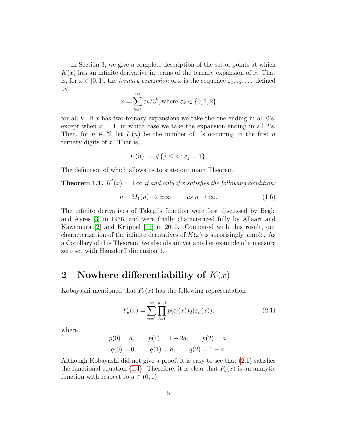In Section 3, we give a complete description of the set of points at which  $K(x)$  has an infinite derivative in terms of the ternary expansion of x. That is, for  $x \in [0,1]$ , the *ternary expansion* of x is the sequence  $\varepsilon_1, \varepsilon_2, \ldots$  defined by

$$
x = \sum_{k=1}^{\infty} \varepsilon_k / 3^k
$$
, where  $\varepsilon_k \in \{0, 1, 2\}$ 

for all k. If x has two ternary expansions we take the one ending in all  $0$ 's, except when  $x = 1$ , in which case we take the expansion ending in all 2's. Then, for  $n \in \mathbb{N}$ , let  $I_1(n)$  be the number of 1's occurring in the first n ternary digits of  $x$ . That is,

$$
I_1(n) := \# \{ j \le n : \varepsilon_j = 1 \}.
$$

The definition of which allows us to state our main Theorem.

<span id="page-4-1"></span>**Theorem 1.1.**  $K'(x) = \pm \infty$  if and only if x satisfies the following condition:

$$
n - 3I_1(n) \to \pm \infty \qquad \text{as } n \to \infty. \tag{1.6}
$$

The infinite derivatives of Takagi's function were first discussed by Begle and Ayres [\[3\]](#page-12-8) in 1936, and were finally characterized fully by Allaart and Kawamura [\[2\]](#page-12-9) and Krüppel [\[11\]](#page-12-10) in 2010. Compared with this result, our characterization of the infinite derivatives of  $K(x)$  is surprisingly simple. As a Corollary of this Theorem, we also obtain yet another example of a measure zero set with Hausdorff dimension 1.

#### 2 Nowhere differentiability of  $K(x)$

Kobayashi mentioned that  $F_a(x)$  has the following representation

<span id="page-4-0"></span>
$$
F_a(x) = \sum_{n=1}^{\infty} \prod_{l=1}^{n-1} p(\varepsilon_l(x)) q(\varepsilon_n(x)),
$$
\n(2.1)

where

$$
p(0) = a,
$$
  $p(1) = 1 - 2a,$   $p(2) = a,$   
 $q(0) = 0,$   $q(1) = a,$   $q(2) = 1 - a.$ 

Although Kobayashi did not give a proof, it is easy to see that [\(2.1\)](#page-4-0) satisfies the functional equation [\(1.4\)](#page-3-0). Therefore, it is clear that  $F_a(x)$  is an analytic function with respect to  $a \in (0,1)$ .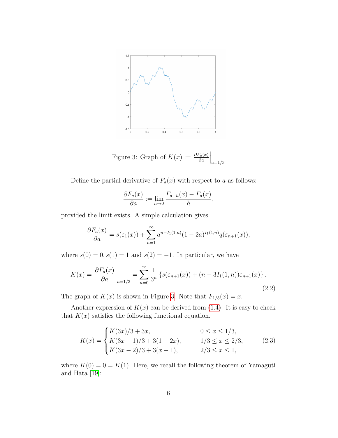

<span id="page-5-0"></span>Figure 3: Graph of  $K(x) := \frac{\partial F_a(x)}{\partial a}$  $\Big|_{a=1/3}$ 

Define the partial derivative of  $F_a(x)$  with respect to a as follows:

$$
\frac{\partial F_a(x)}{\partial a} := \lim_{h \to 0} \frac{F_{a+h}(x) - F_a(x)}{h},
$$

provided the limit exists. A simple calculation gives

$$
\frac{\partial F_a(x)}{\partial a} = s(\varepsilon_1(x)) + \sum_{n=1}^{\infty} a^{n-I_1(1,n)} (1 - 2a)^{I_1(1,n)} q(\varepsilon_{n+1}(x)),
$$

where  $s(0) = 0, s(1) = 1$  and  $s(2) = -1$ . In particular, we have

<span id="page-5-2"></span>
$$
K(x) = \frac{\partial F_a(x)}{\partial a}\Big|_{a=1/3} = \sum_{n=0}^{\infty} \frac{1}{3^n} \left\{ s(\varepsilon_{n+1}(x)) + (n - 3I_1(1, n))\varepsilon_{n+1}(x) \right\}.
$$
\n(2.2)

The graph of  $K(x)$  is shown in Figure [3.](#page-5-0) Note that  $F_{1/3}(x) = x$ .

Another expression of  $K(x)$  can be derived from [\(1.4\)](#page-3-0). It is easy to check that  $K(x)$  satisfies the following functional equation.

<span id="page-5-1"></span>
$$
K(x) = \begin{cases} K(3x)/3 + 3x, & 0 \le x \le 1/3, \\ K(3x - 1)/3 + 3(1 - 2x), & 1/3 \le x \le 2/3, \\ K(3x - 2)/3 + 3(x - 1), & 2/3 \le x \le 1, \end{cases}
$$
(2.3)

where  $K(0) = 0 = K(1)$ . Here, we recall the following theorem of Yamaguti and Hata [\[19\]](#page-13-7):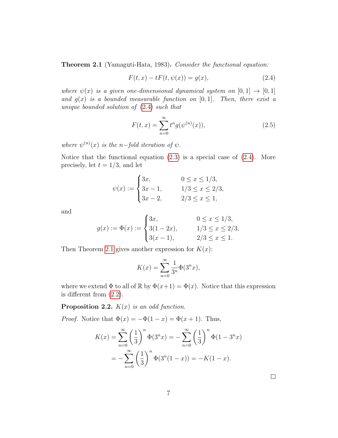<span id="page-6-1"></span>Theorem 2.1 (Yamaguti-Hata, 1983). Consider the functional equation:

<span id="page-6-0"></span>
$$
F(t, x) - tF(t, \psi(x)) = g(x),
$$
\n(2.4)

where  $\psi(x)$  is a given one-dimensional dynamical system on  $[0, 1] \rightarrow [0, 1]$ and  $g(x)$  is a bounded measurable function on [0, 1]. Then, there exist a unique bounded solution of [\(2.4\)](#page-6-0) such that

<span id="page-6-2"></span>
$$
F(t,x) = \sum_{n=0}^{\infty} t^n g(\psi^{(n)}(x)),
$$
\n(2.5)

where  $\psi^{(n)}(x)$  is the n-fold iteration of  $\psi$ .

Notice that the functional equation  $(2.3)$  is a special case of  $(2.4)$ . More precisely, let  $t = 1/3$ , and let

$$
\psi(x) := \begin{cases} 3x, & 0 \le x \le 1/3, \\ 3x - 1, & 1/3 \le x \le 2/3, \\ 3x - 2, & 2/3 \le x \le 1, \end{cases}
$$

and

$$
g(x) := \Phi(x) := \begin{cases} 3x, & 0 \le x \le 1/3, \\ 3(1 - 2x), & 1/3 \le x \le 2/3, \\ 3(x - 1), & 2/3 \le x \le 1. \end{cases}
$$

Then Theorem [2.1](#page-6-1) gives another expression for  $K(x)$ :

$$
K(x) = \sum_{n=0}^{\infty} \frac{1}{3^n} \Phi(3^n x),
$$

where we extend  $\Phi$  to all of  $\mathbb R$  by  $\Phi(x+1) = \Phi(x)$ . Notice that this expression is different from [\(2.2\)](#page-5-2).

<span id="page-6-3"></span>**Proposition 2.2.**  $K(x)$  is an odd function.

*Proof.* Notice that  $\Phi(x) = -\Phi(1-x) = \Phi(x+1)$ . Thus,

$$
K(x) = \sum_{n=0}^{\infty} \left(\frac{1}{3}\right)^n \Phi(3^n x) = -\sum_{n=0}^{\infty} \left(\frac{1}{3}\right)^n \Phi(1 - 3^n x)
$$
  
= 
$$
-\sum_{n=0}^{\infty} \left(\frac{1}{3}\right)^n \Phi(3^n (1 - x)) = -K(1 - x).
$$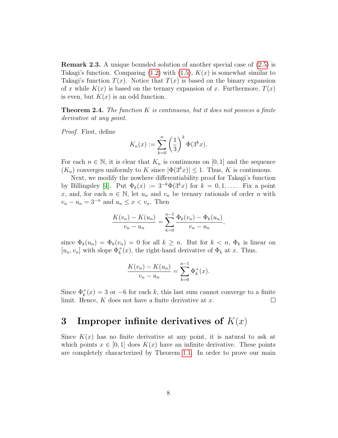Remark 2.3. A unique bounded solution of another special case of [\(2.5\)](#page-6-2) is Takagi's function. Comparing [\(1.2\)](#page-1-0) with [\(1.5\)](#page-3-1),  $K(x)$  is somewhat similar to Takagi's function  $T(x)$ . Notice that  $T(x)$  is based on the binary expansion of x while  $K(x)$  is based on the ternary expansion of x. Furthermore,  $T(x)$ is even, but  $K(x)$  is an odd function.

**Theorem 2.4.** The function K is continuous, but it does not possess a finite derivative at any point.

Proof. First, define

$$
K_n(x) := \sum_{k=0}^n \left(\frac{1}{3}\right)^k \Phi(3^k x).
$$

For each  $n \in \mathbb{N}$ , it is clear that  $K_n$  is continuous on [0, 1] and the sequence  $(K_n)$  converges uniformly to K since  $|\Phi(3^k x)| \leq 1$ . Thus, K is continuous.

Next, we modify the nowhere differentiability proof for Takagi's function by Billingsley [\[4\]](#page-12-11). Put  $\Phi_k(x) := 3^{-k} \Phi(3^k x)$  for  $k = 0, 1, \ldots$ . Fix a point x, and, for each  $n \in \mathbb{N}$ , let  $u_n$  and  $v_n$  be ternary rationals of order n with  $v_n - u_n = 3^{-n}$  and  $u_n \leq x < v_n$ . Then

$$
\frac{K(v_n) - K(u_n)}{v_n - u_n} = \sum_{k=0}^{n-1} \frac{\Phi_k(v_n) - \Phi_k(u_n)}{v_n - u_n},
$$

since  $\Phi_k(u_n) = \Phi_k(v_n) = 0$  for all  $k \geq n$ . But for  $k < n$ ,  $\Phi_k$  is linear on  $[u_n, v_n]$  with slope  $\Phi_k^+(x)$ , the right-hand derivative of  $\Phi_k$  at x. Thus,

$$
\frac{K(v_n) - K(u_n)}{v_n - u_n} = \sum_{k=0}^{n-1} \Phi_k^+(x).
$$

Since  $\Phi_k^+(x) = 3$  or  $-6$  for each k, this last sum cannot converge to a finite limit. Hence,  $K$  does not have a finite derivative at  $x$ .  $\Box$ 

## 3 Improper infinite derivatives of  $K(x)$

Since  $K(x)$  has no finite derivative at any point, it is natural to ask at which points  $x \in [0, 1]$  does  $K(x)$  have an infinite derivative. These points are completely characterized by Theorem [1.1.](#page-4-1) In order to prove our main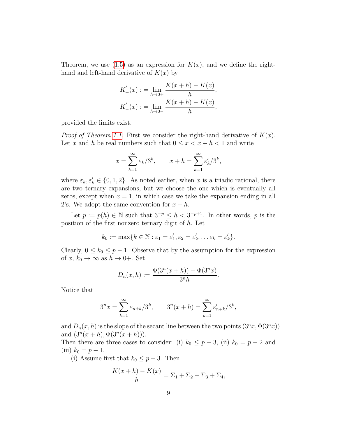Theorem, we use [\(1.5\)](#page-3-1) as an expression for  $K(x)$ , and we define the righthand and left-hand derivative of  $K(x)$  by

$$
K'_{+}(x) := \lim_{h \to 0+} \frac{K(x+h) - K(x)}{h},
$$
  

$$
K'_{-}(x) := \lim_{h \to 0-} \frac{K(x+h) - K(x)}{h},
$$

provided the limits exist.

*Proof of Theorem [1.1.](#page-4-1)* First we consider the right-hand derivative of  $K(x)$ . Let x and h be real numbers such that  $0 \leq x < x + h < 1$  and write

$$
x = \sum_{k=1}^{\infty} \varepsilon_k / 3^k, \qquad x + h = \sum_{k=1}^{\infty} \varepsilon_k' / 3^k,
$$

where  $\varepsilon_k, \varepsilon'_k \in \{0, 1, 2\}$ . As noted earlier, when x is a triadic rational, there are two ternary expansions, but we choose the one which is eventually all zeros, except when  $x = 1$ , in which case we take the expansion ending in all 2's. We adopt the same convention for  $x + h$ .

Let  $p := p(h) \in \mathbb{N}$  such that  $3^{-p} \leq h < 3^{-p+1}$ . In other words, p is the position of the first nonzero ternary digit of  $h$ . Let

$$
k_0 := \max\{k \in \mathbb{N} : \varepsilon_1 = \varepsilon'_1, \varepsilon_2 = \varepsilon'_2, \dots \varepsilon_k = \varepsilon'_k\}.
$$

Clearly,  $0 \le k_0 \le p - 1$ . Observe that by the assumption for the expression of x,  $k_0 \to \infty$  as  $h \to 0^+$ . Set

$$
D_n(x, h) := \frac{\Phi(3^n(x+h)) - \Phi(3^n x)}{3^n h}.
$$

Notice that

$$
3^{n}x = \sum_{k=1}^{\infty} \varepsilon_{n+k}/3^{k}, \qquad 3^{n}(x+h) = \sum_{k=1}^{\infty} \varepsilon'_{n+k}/3^{k},
$$

and  $D_n(x, h)$  is the slope of the secant line between the two points  $(3^n x, \Phi(3^n x))$ and  $(3^n(x+h), \Phi(3^n(x+h)))$ .

Then there are three cases to consider: (i)  $k_0 \leq p-3$ , (ii)  $k_0 = p-2$  and (iii)  $k_0 = p - 1$ .

(i) Assume first that  $k_0 \leq p-3$ . Then

$$
\frac{K(x + h) - K(x)}{h} = \Sigma_1 + \Sigma_2 + \Sigma_3 + \Sigma_4,
$$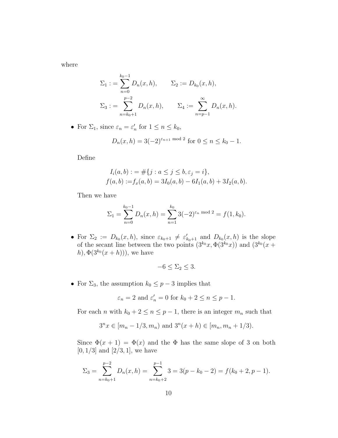where

$$
\Sigma_1 := \sum_{n=0}^{k_0 - 1} D_n(x, h), \qquad \Sigma_2 := D_{k_0}(x, h),
$$
  

$$
\Sigma_3 := \sum_{n=k_0 + 1}^{p-2} D_n(x, h), \qquad \Sigma_4 := \sum_{n=p-1}^{\infty} D_n(x, h).
$$

• For  $\Sigma_1$ , since  $\varepsilon_n = \varepsilon'_n$  for  $1 \le n \le k_0$ ,

$$
D_n(x, h) = 3(-2)^{\varepsilon_{n+1} \bmod 2} \text{ for } 0 \le n \le k_0 - 1.
$$

Define

$$
I_i(a, b) := #\{j : a \le j \le b, \varepsilon_j = i\},
$$
  

$$
f(a, b) := f_x(a, b) = 3I_0(a, b) - 6I_1(a, b) + 3I_2(a, b).
$$

Then we have

$$
\Sigma_1 = \sum_{n=0}^{k_0 - 1} D_n(x, h) = \sum_{n=1}^{k_0} 3(-2)^{\varepsilon_n \mod 2} = f(1, k_0).
$$

• For  $\Sigma_2 := D_{k_0}(x, h)$ , since  $\varepsilon_{k_0+1} \neq \varepsilon'_{k_0+1}$  and  $D_{k_0}(x, h)$  is the slope of the secant line between the two points  $(3^{k_0}x, \Phi(3^{k_0}x))$  and  $(3^{k_0}(x +$ h),  $\Phi(3^{k_0}(x+h))$ , we have

$$
-6 \le \Sigma_2 \le 3.
$$

• For  $\Sigma_3$ , the assumption  $k_0 \leq p-3$  implies that

$$
\varepsilon_n = 2
$$
 and  $\varepsilon'_n = 0$  for  $k_0 + 2 \le n \le p - 1$ .

For each *n* with  $k_0 + 2 \le n \le p - 1$ , there is an integer  $m_n$  such that

$$
3^n x \in [m_n - 1/3, m_n)
$$
 and  $3^n(x + h) \in [m_n, m_n + 1/3)$ .

Since  $\Phi(x+1) = \Phi(x)$  and the  $\Phi$  has the same slope of 3 on both  $[0, 1/3]$  and  $[2/3, 1]$ , we have

$$
\Sigma_3 = \sum_{n=k_0+1}^{p-2} D_n(x, h) = \sum_{n=k_0+2}^{p-1} 3 = 3(p - k_0 - 2) = f(k_0 + 2, p - 1).
$$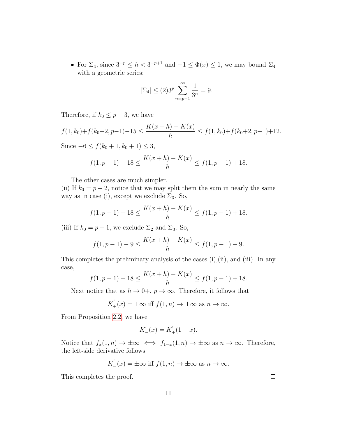• For  $\Sigma_4$ , since  $3^{-p} \leq h < 3^{-p+1}$  and  $-1 \leq \Phi(x) \leq 1$ , we may bound  $\Sigma_4$ with a geometric series:

$$
|\Sigma_4| \le (2)3^p \sum_{n=p-1}^{\infty} \frac{1}{3^n} = 9.
$$

Therefore, if  $k_0 \leq p-3$ , we have

$$
f(1,k_0)+f(k_0+2,p-1)-15 \le \frac{K(x+h)-K(x)}{h} \le f(1,k_0)+f(k_0+2,p-1)+12.
$$

Since  $-6 \le f(k_0 + 1, k_0 + 1) \le 3$ ,

$$
f(1, p-1) - 18 \le \frac{K(x+h) - K(x)}{h} \le f(1, p-1) + 18.
$$

The other cases are much simpler.

(ii) If  $k_0 = p - 2$ , notice that we may split them the sum in nearly the same way as in case (i), except we exclude  $\Sigma_3$ . So,

$$
f(1, p-1) - 18 \le \frac{K(x+h) - K(x)}{h} \le f(1, p-1) + 18.
$$

(iii) If  $k_0 = p - 1$ , we exclude  $\Sigma_2$  and  $\Sigma_3$ . So,

$$
f(1, p-1) - 9 \le \frac{K(x+h) - K(x)}{h} \le f(1, p-1) + 9.
$$

This completes the preliminary analysis of the cases (i),(ii), and (iii). In any case,

$$
f(1, p-1) - 18 \le \frac{K(x+h) - K(x)}{h} \le f(1, p-1) + 18.
$$

Next notice that as  $h \to 0^+, p \to \infty$ . Therefore, it follows that

$$
K'_{+}(x) = \pm \infty \text{ iff } f(1,n) \to \pm \infty \text{ as } n \to \infty.
$$

From Proposition [2.2,](#page-6-3) we have

$$
K_{-}'(x) = K_{+}'(1 - x).
$$

Notice that  $f_x(1,n) \to \pm \infty \iff f_{1-x}(1,n) \to \pm \infty$  as  $n \to \infty$ . Therefore, the left-side derivative follows

$$
K'_{-}(x) = \pm \infty \text{ iff } f(1, n) \to \pm \infty \text{ as } n \to \infty.
$$

This completes the proof.

 $\Box$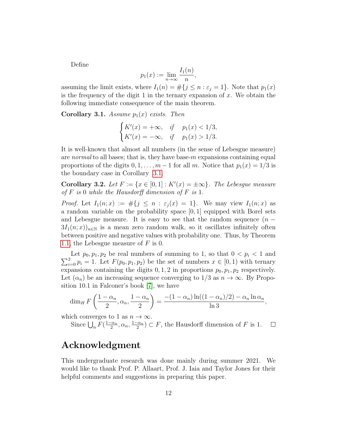Define

$$
p_1(x) := \lim_{n \to \infty} \frac{I_1(n)}{n},
$$

assuming the limit exists, where  $I_1(n) = \#\{j \leq n : \varepsilon_j = 1\}$ . Note that  $p_1(x)$ is the frequency of the digit 1 in the ternary expansion of  $x$ . We obtain the following immediate consequence of the main theorem.

<span id="page-11-0"></span>Corollary 3.1. Assume  $p_1(x)$  exists. Then

$$
\begin{cases} K'(x) = +\infty, & if \quad p_1(x) < 1/3, \\ K'(x) = -\infty, & if \quad p_1(x) > 1/3. \end{cases}
$$

It is well-known that almost all numbers (in the sense of Lebesgue measure) are normal to all bases; that is, they have base- $m$  expansions containing equal proportions of the digits  $0, 1, \ldots, m-1$  for all m. Notice that  $p_1(x) = 1/3$  is the boundary case in Corollary [3.1.](#page-11-0)

Corollary 3.2. Let  $F := \{x \in [0,1]: K'(x) = \pm \infty\}$ . The Lebesgue measure of  $F$  is 0 while the Hausdorff dimension of  $F$  is 1.

*Proof.* Let  $I_1(n; x) := \#\{j \leq n : \varepsilon_j(x) = 1\}$ . We may view  $I_1(n; x)$  as a random variable on the probability space [0, 1] equipped with Borel sets and Lebesgue measure. It is easy to see that the random sequence  $(n 3I_1(n; x)_{n \in \mathbb{N}}$  is a mean zero random walk, so it oscillates infinitely often between positive and negative values with probability one. Thus, by Theorem [1.1,](#page-4-1) the Lebesgue measure of  $F$  is 0.

 $\sum$ Let  $p_0, p_1, p_2$  be real numbers of summing to 1, so that  $0 < p_i < 1$  and  $\frac{p_2}{p_i - p_i} = 1$ . Let  $F(p_0, p_1, p_2)$  be the set of numbers  $x \in [0, 1)$  with ternary expansions containing the digits  $0, 1, 2$  in proportions  $p_0, p_1, p_2$  respectively. Let  $(\alpha_n)$  be an increasing sequence converging to 1/3 as  $n \to \infty$ . By Proposition 10.1 in Falconer's book [\[7\]](#page-12-7), we have

$$
\dim_H F\left(\frac{1-\alpha_n}{2},\alpha_n,\frac{1-\alpha_n}{2}\right)=\frac{-(1-\alpha_n)\ln((1-\alpha_n)/2)-\alpha_n\ln\alpha_n}{\ln 3},\,
$$

which converges to 1 as  $n \to \infty$ .

Since  $\bigcup_n F(\frac{1-\alpha_n}{2})$  $\frac{\alpha_n}{2}, \alpha_n, \frac{1-\alpha_n}{2}$  $\frac{1-\alpha_n}{2}$   $\subset$  F, the Hausdorff dimension of F is 1.  $\Box$ 

# Acknowledgment

This undergraduate research was done mainly during summer 2021. We would like to thank Prof. P. Allaart, Prof. J. Iaia and Taylor Jones for their helpful comments and suggestions in preparing this paper.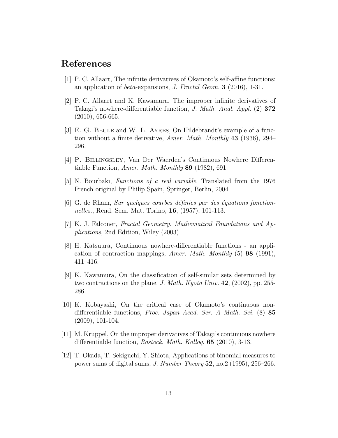### References

- <span id="page-12-6"></span>[1] P. C. Allaart, The infinite derivatives of Okamoto's self-affine functions: an application of beta-expansions, J. Fractal Geom. 3 (2016), 1-31.
- <span id="page-12-9"></span>[2] P. C. Allaart and K. Kawamura, The improper infinite derivatives of Takagi's nowhere-differentiable function, J. Math. Anal. Appl. (2) 372 (2010), 656-665.
- <span id="page-12-8"></span>[3] E. G. BEGLE and W. L. AYRES, On Hildebrandt's example of a function without a finite derivative, Amer. Math. Monthly 43 (1936), 294– 296.
- <span id="page-12-11"></span>[4] P. Billingsley, Van Der Waerden's Continuous Nowhere Differentiable Function, Amer. Math. Monthly 89 (1982), 691.
- <span id="page-12-3"></span>[5] N. Bourbaki, Functions of a real variable, Translated from the 1976 French original by Philip Spain, Springer, Berlin, 2004.
- <span id="page-12-0"></span> $|6|$  G. de Rham, Sur quelques courbes définies par des équations fonctionnelles., Rend. Sem. Mat. Torino, 16, (1957), 101-113.
- <span id="page-12-7"></span>[7] K. J. Falconer, Fractal Geometry. Mathematical Foundations and Applications, 2nd Edition, Wiley (2003)
- <span id="page-12-4"></span>[8] H. Katsuura, Continuous nowhere-differentiable functions - an application of contraction mappings, Amer. Math. Monthly (5) 98 (1991), 411–416.
- <span id="page-12-2"></span>[9] K. Kawamura, On the classification of self-similar sets determined by two contractions on the plane, J. Math. Kyoto Univ. 42, (2002), pp. 255- 286.
- <span id="page-12-5"></span>[10] K. Kobayashi, On the critical case of Okamoto's continuous nondifferentiable functions, Proc. Japan Acad. Ser. A Math. Sci. (8) 85 (2009), 101-104.
- <span id="page-12-10"></span>[11] M. Krüppel, On the improper derivatives of Takagi's continuous nowhere differentiable function, *Rostock. Math. Kolloq.* **65** (2010), 3-13.
- <span id="page-12-1"></span>[12] T. Okada, T. Sekiguchi, Y. Shiota, Applications of binomial measures to power sums of digital sums, J. Number Theory 52, no.2 (1995), 256–266.